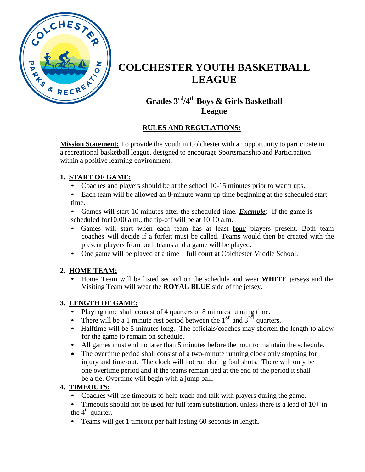

# **COLCHESTER YOUTH BASKETBALL LEAGUE**

## **Grades 3 rd /4 th Boys & Girls Basketball League**

## **RULES AND REGULATIONS:**

**Mission Statement:** To provide the youth in Colchester with an opportunity to participate in a recreational basketball league, designed to encourage Sportsmanship and Participation within a positive learning environment.

#### **1. START OF GAME:**

- Coaches and players should be at the school 10-15 minutes prior to warm ups.
- Each team will be allowed an 8-minute warm up time beginning at the scheduled start time.
- Games will start 10 minutes after the scheduled time. *Example*: If the game is scheduled for10:00 a.m., the tip-off will be at 10:10 a.m.
- Games will start when each team has at least **four** players present. Both team coaches will decide if a forfeit must be called. Teams would then be created with the present players from both teams and a game will be played.
- One game will be played at a time full court at Colchester Middle School.

#### **2. HOME TEAM:**

• Home Team will be listed second on the schedule and wear **WHITE** jerseys and the Visiting Team will wear the **ROYAL BLUE** side of the jersey.

## **3. LENGTH OF GAME:**

- Playing time shall consist of 4 quarters of 8 minutes running time.
- There will be a 1 minute rest period between the  $1<sup>st</sup>$  and  $3<sup>rd</sup>$  quarters.
- Halftime will be 5 minutes long. The officials/coaches may shorten the length to allow for the game to remain on schedule.
- All games must end no later than 5 minutes before the hour to maintain the schedule.
- The overtime period shall consist of a two-minute running clock only stopping for injury and time-out. The clock will not run during foul shots. There will only be one overtime period and if the teams remain tied at the end of the period it shall be a tie. Overtime will begin with a jump ball.

## **4. TIMEOUTS:**

- Coaches will use timeouts to help teach and talk with players during the game.
- Timeouts should not be used for full team substitution, unless there is a lead of  $10+$  in the  $4<sup>th</sup>$  quarter.
- Teams will get 1 timeout per half lasting 60 seconds in length.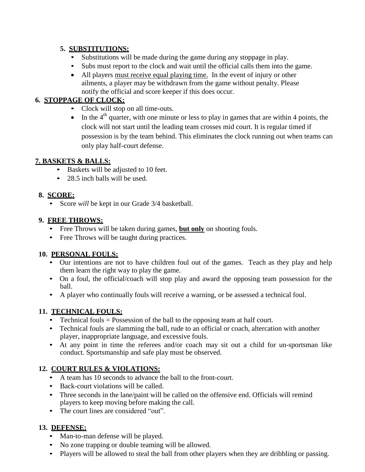#### **5. SUBSTITUTIONS:**

- Substitutions will be made during the game during any stoppage in play.
- Subs must report to the clock and wait until the official calls them into the game.
- All players must receive equal playing time. In the event of injury or other ailments, a player may be withdrawn from the game without penalty. Please notify the official and score keeper if this does occur.

## **6. STOPPAGE OF CLOCK:**

- Clock will stop on all time-outs.
- $\bullet$  In the 4<sup>th</sup> quarter, with one minute or less to play in games that are within 4 points, the clock will not start until the leading team crosses mid court. It is regular timed if possession is by the team behind. This eliminates the clock running out when teams can only play half-court defense.

#### **7. BASKETS & BALLS:**

- Baskets will be adjusted to 10 feet.
- 28.5 inch balls will be used.

#### **8. SCORE:**

• Score *will* be kept in our Grade 3/4 basketball.

#### **9. FREE THROWS:**

- Free Throws will be taken during games, **but only** on shooting fouls.
- Free Throws will be taught during practices.

#### **10. PERSONAL FOULS:**

- Our intentions are not to have children foul out of the games. Teach as they play and help them learn the right way to play the game.
- On a foul, the official/coach will stop play and award the opposing team possession for the ball.
- A player who continually fouls will receive a warning, or be assessed a technical foul.

#### **11. TECHNICAL FOULS:**

- Technical fouls = Possession of the ball to the opposing team at half court.
- Technical fouls are slamming the ball, rude to an official or coach, altercation with another player, inappropriate language, and excessive fouls.
- At any point in time the referees and/or coach may sit out a child for un-sportsman like conduct. Sportsmanship and safe play must be observed.

## **12. COURT RULES & VIOLATIONS:**

- A team has 10 seconds to advance the ball to the front-court.
- Back-court violations will be called.
- Three seconds in the lane/paint will be called on the offensive end. Officials will remind players to keep moving before making the call.
- The court lines are considered "out".

#### **13. DEFENSE:**

- Man-to-man defense will be played.
- No zone trapping or double teaming will be allowed.
- Players will be allowed to steal the ball from other players when they are dribbling or passing.